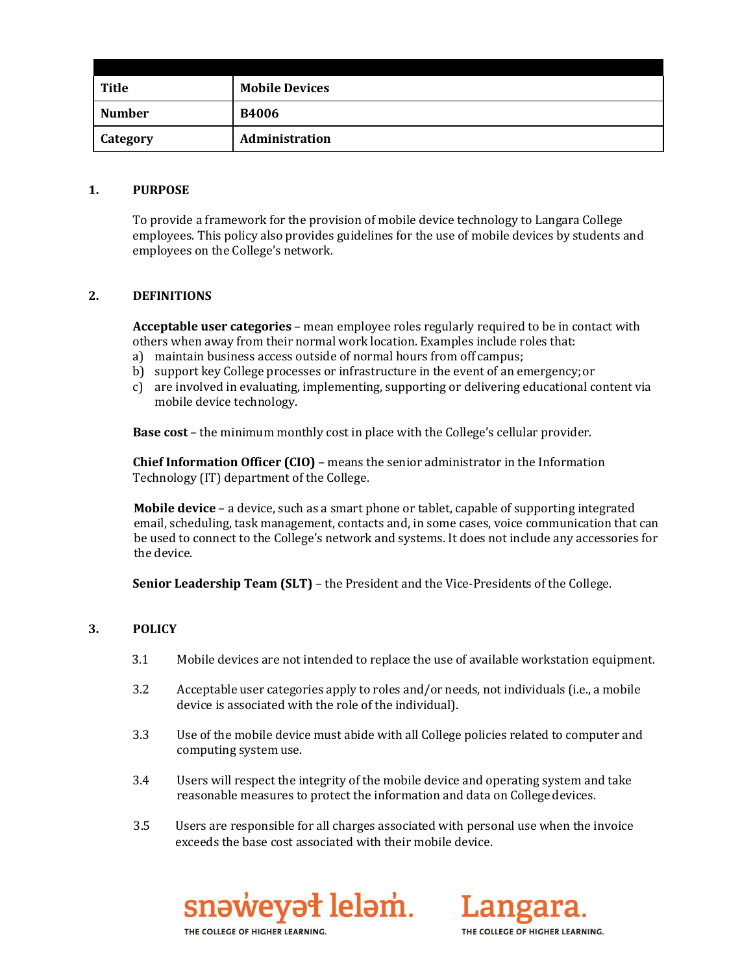| Title           | <b>Mobile Devices</b> |
|-----------------|-----------------------|
| <b>Number</b>   | <b>B4006</b>          |
| <b>Category</b> | Administration        |

#### **1. PURPOSE**

To provide a framework for the provision of mobile device technology to Langara College employees. This policy also provides guidelines for the use of mobile devices by students and employees on the College's network.

## **2. DEFINITIONS**

**Acceptable user categories** – mean employee roles regularly required to be in contact with others when away from their normal work location. Examples include roles that:

- a) maintain business access outside of normal hours from off campus;
- b) support key College processes or infrastructure in the event of an emergency;or
- c) are involved in evaluating, implementing, supporting or delivering educational content via mobile device technology.

**Base cost** – the minimum monthly cost in place with the College's cellular provider.

**Chief Information Officer (CIO)** – means the senior administrator in the Information Technology (IT) department of the College.

**Mobile device** – a device, such as a smart phone or tablet, capable of supporting integrated email, scheduling, task management, contacts and, in some cases, voice communication that can be used to connect to the College's network and systems. It does not include any accessories for the device.

**Senior Leadership Team (SLT)** – the President and the Vice-Presidents of the College.

## **3. POLICY**

- 3.1 Mobile devices are not intended to replace the use of available workstation equipment.
- 3.2 Acceptable user categories apply to roles and/or needs, not individuals (i.e., a mobile device is associated with the role of the individual).
- 3.3 Use of the mobile device must abide with all College policies related to computer and computing system use.
- 3.4 Users will respect the integrity of the mobile device and operating system and take reasonable measures to protect the information and data on Collegedevices.
- 3.5 Users are responsible for all charges associated with personal use when the invoice exceeds the base cost associated with their mobile device.





THE COLLEGE OF HIGHER LEARNING